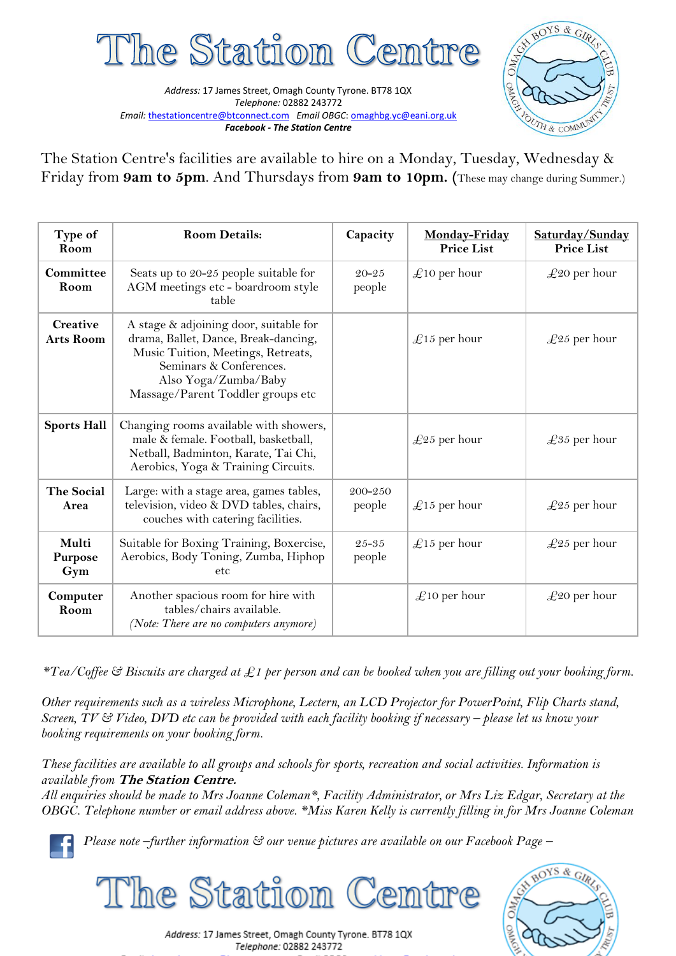

*Address:* 17 James Street, Omagh County Tyrone. BT78 1QX *Telephone:* 02882 243772 *Email:* [thestationcentre@btconnect.com](mailto:thestationcentre@btconnect.com) *Email OBGC*[: omaghbg.yc@eani.org.uk](mailto:omaghbg.yc@eani.org.uk) *Facebook - The Station Centre*



The Station Centre's facilities are available to hire on a Monday, Tuesday, Wednesday & Friday from **9am to 5pm**. And Thursdays from **9am to 10pm. (**These may change during Summer.)

| Type of<br>Room                | <b>Room Details:</b>                                                                                                                                                                                         | Capacity            | Monday-Friday<br><b>Price List</b> | Saturday/Sunday<br><b>Price List</b> |
|--------------------------------|--------------------------------------------------------------------------------------------------------------------------------------------------------------------------------------------------------------|---------------------|------------------------------------|--------------------------------------|
| Committee<br>Room              | Seats up to 20-25 people suitable for<br>AGM meetings etc - boardroom style<br>table                                                                                                                         | $20 - 25$<br>people | $\pounds$ 10 per hour              | $\pounds 20$ per hour                |
| Creative<br><b>Arts Room</b>   | A stage & adjoining door, suitable for<br>drama, Ballet, Dance, Break-dancing,<br>Music Tuition, Meetings, Retreats,<br>Seminars & Conferences.<br>Also Yoga/Zumba/Baby<br>Massage/Parent Toddler groups etc |                     | $\pounds$ 15 per hour              | $\pounds$ 25 per hour                |
| <b>Sports Hall</b>             | Changing rooms available with showers,<br>male & female. Football, basketball,<br>Netball, Badminton, Karate, Tai Chi,<br>Aerobics, Yoga & Training Circuits.                                                |                     | $\pounds$ 25 per hour              | $\pounds$ 35 per hour                |
| The Social<br>Area             | Large: with a stage area, games tables,<br>television, video & DVD tables, chairs,<br>couches with catering facilities.                                                                                      | 200-250<br>people   | $\pounds$ 15 per hour              | $\pounds$ 25 per hour                |
| Multi<br><b>Purpose</b><br>Gym | Suitable for Boxing Training, Boxercise,<br>Aerobics, Body Toning, Zumba, Hiphop<br>etc                                                                                                                      | 25-35<br>people     | $\pounds$ 15 per hour              | $\pounds$ 25 per hour                |
| Computer<br>Room               | Another spacious room for hire with<br>tables/chairs available.<br>(Note: There are no computers anymore)                                                                                                    |                     | $\pounds$ 10 per hour              | $\pounds 20$ per hour                |

*\*Tea/Coffee & Biscuits are charged at £1 per person and can be booked when you are filling out your booking form.*

*Other requirements such as a wireless Microphone, Lectern, an LCD Projector for PowerPoint, Flip Charts stand, Screen, TV & Video, DVD etc can be provided with each facility booking if necessary – please let us know your booking requirements on your booking form.*

*These facilities are available to all groups and schools for sports, recreation and social activities. Information is available from* **The Station Centre.**

*All enquiries should be made to Mrs Joanne Coleman\*, Facility Administrator, or Mrs Liz Edgar, Secretary at the OBGC. Telephone number or email address above. \*Miss Karen Kelly is currently filling in for Mrs Joanne Coleman*

*Please note –further information & our venue pictures are available on our Facebook Page –*





Address: 17 James Street, Omagh County Tyrone. BT78 1QX Telephone: 02882 243772